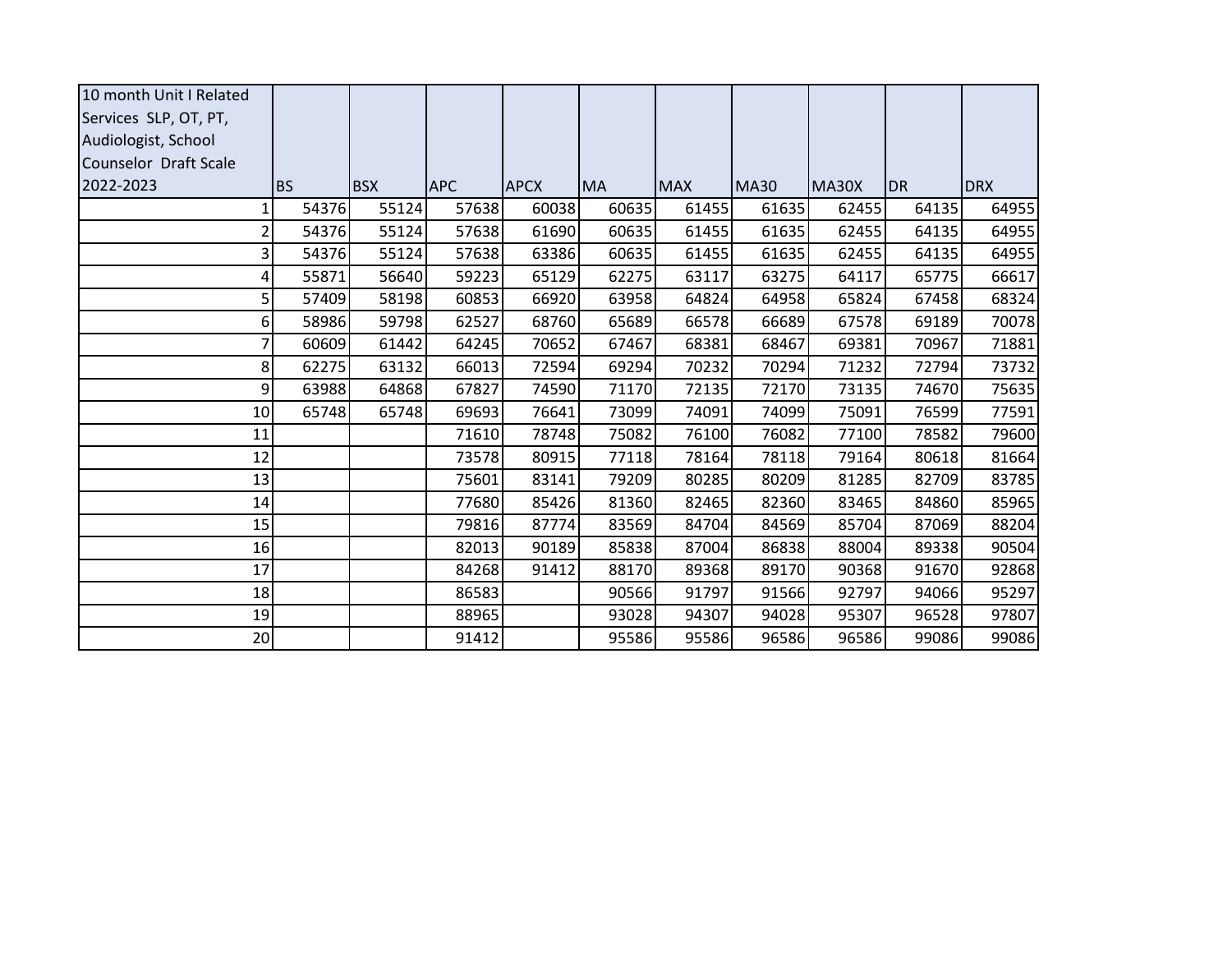| 10 month Unit I Related |           |            |            |             |           |            |             |       |           |            |
|-------------------------|-----------|------------|------------|-------------|-----------|------------|-------------|-------|-----------|------------|
| Services SLP, OT, PT,   |           |            |            |             |           |            |             |       |           |            |
| Audiologist, School     |           |            |            |             |           |            |             |       |           |            |
| Counselor Draft Scale   |           |            |            |             |           |            |             |       |           |            |
| 2022-2023               | <b>BS</b> | <b>BSX</b> | <b>APC</b> | <b>APCX</b> | <b>MA</b> | <b>MAX</b> | <b>MA30</b> | MA30X | <b>DR</b> | <b>DRX</b> |
| 1                       | 54376     | 55124      | 57638      | 60038       | 60635     | 61455      | 61635       | 62455 | 64135     | 64955      |
| 2                       | 54376     | 55124      | 57638      | 61690       | 60635     | 61455      | 61635       | 62455 | 64135     | 64955      |
| 3                       | 54376     | 55124      | 57638      | 63386       | 60635     | 61455      | 61635       | 62455 | 64135     | 64955      |
| 4                       | 55871     | 56640      | 59223      | 65129       | 62275     | 63117      | 63275       | 64117 | 65775     | 66617      |
| 5                       | 57409     | 58198      | 60853      | 66920       | 63958     | 64824      | 64958       | 65824 | 67458     | 68324      |
| 6                       | 58986     | 59798      | 62527      | 68760       | 65689     | 66578      | 66689       | 67578 | 69189     | 70078      |
| 7                       | 60609     | 61442      | 64245      | 70652       | 67467     | 68381      | 68467       | 69381 | 70967     | 71881      |
| 8                       | 62275     | 63132      | 66013      | 72594       | 69294     | 70232      | 70294       | 71232 | 72794     | 73732      |
| 9                       | 63988     | 64868      | 67827      | 74590       | 71170     | 72135      | 72170       | 73135 | 74670     | 75635      |
| 10                      | 65748     | 65748      | 69693      | 76641       | 73099     | 74091      | 74099       | 75091 | 76599     | 77591      |
| 11                      |           |            | 71610      | 78748       | 75082     | 76100      | 76082       | 77100 | 78582     | 79600      |
| 12                      |           |            | 73578      | 80915       | 77118     | 78164      | 78118       | 79164 | 80618     | 81664      |
| 13                      |           |            | 75601      | 83141       | 79209     | 80285      | 80209       | 81285 | 82709     | 83785      |
| 14                      |           |            | 77680      | 85426       | 81360     | 82465      | 82360       | 83465 | 84860     | 85965      |
| 15                      |           |            | 79816      | 87774       | 83569     | 84704      | 84569       | 85704 | 87069     | 88204      |
| 16                      |           |            | 82013      | 90189       | 85838     | 87004      | 86838       | 88004 | 89338     | 90504      |
| 17                      |           |            | 84268      | 91412       | 88170     | 89368      | 89170       | 90368 | 91670     | 92868      |
| 18                      |           |            | 86583      |             | 90566     | 91797      | 91566       | 92797 | 94066     | 95297      |
| 19                      |           |            | 88965      |             | 93028     | 94307      | 94028       | 95307 | 96528     | 97807      |
| 20                      |           |            | 91412      |             | 95586     | 95586      | 96586       | 96586 | 99086     | 99086      |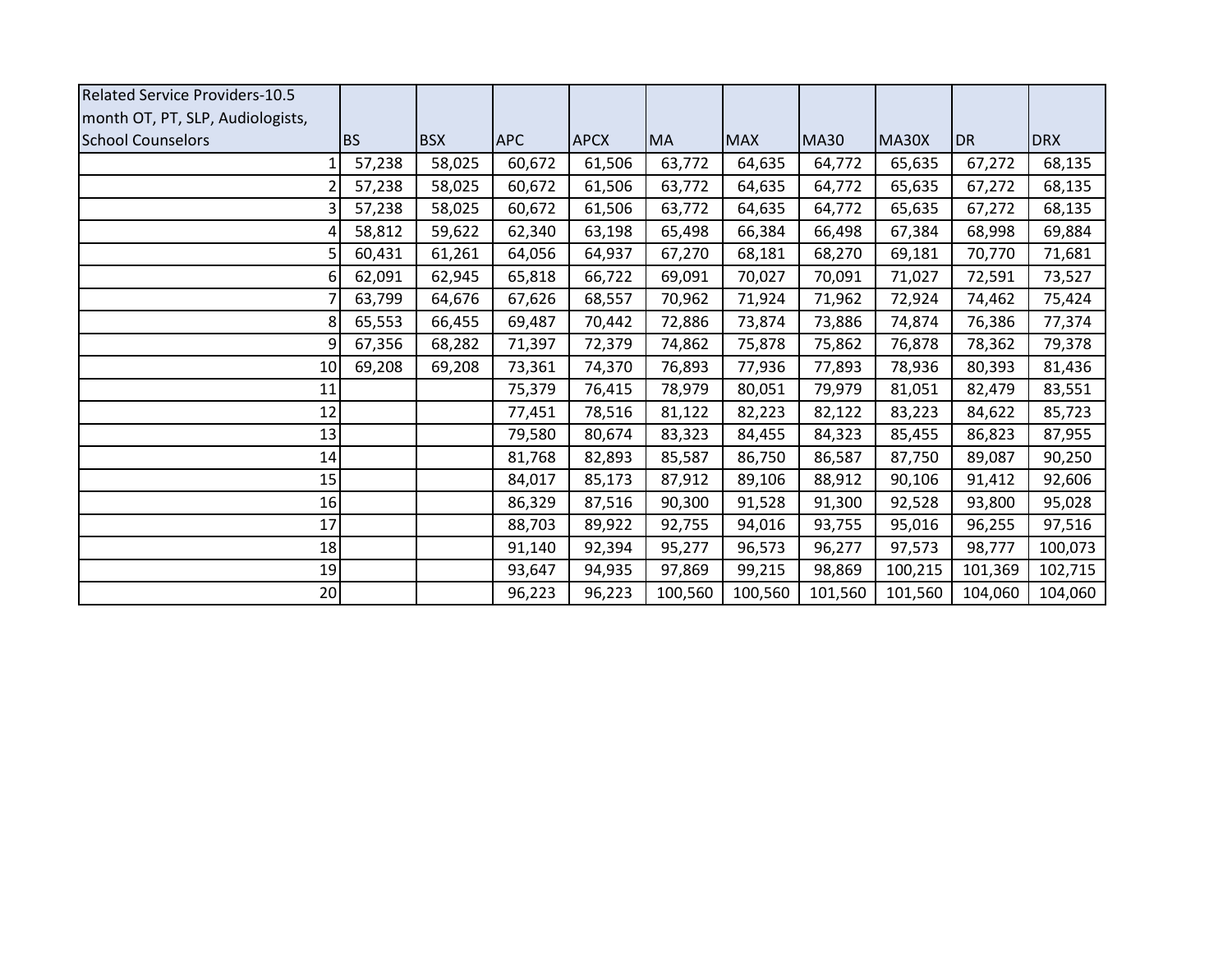| <b>Related Service Providers-10.5</b> |           |            |            |             |           |            |             |         |           |            |
|---------------------------------------|-----------|------------|------------|-------------|-----------|------------|-------------|---------|-----------|------------|
| month OT, PT, SLP, Audiologists,      |           |            |            |             |           |            |             |         |           |            |
| <b>School Counselors</b>              | <b>BS</b> | <b>BSX</b> | <b>APC</b> | <b>APCX</b> | <b>MA</b> | <b>MAX</b> | <b>MA30</b> | MA30X   | <b>DR</b> | <b>DRX</b> |
|                                       | 57,238    | 58,025     | 60,672     | 61,506      | 63,772    | 64,635     | 64,772      | 65,635  | 67,272    | 68,135     |
| $\overline{2}$                        | 57,238    | 58,025     | 60,672     | 61,506      | 63,772    | 64,635     | 64,772      | 65,635  | 67,272    | 68,135     |
| 3                                     | 57,238    | 58,025     | 60,672     | 61,506      | 63,772    | 64,635     | 64,772      | 65,635  | 67,272    | 68,135     |
| 4                                     | 58,812    | 59,622     | 62,340     | 63,198      | 65,498    | 66,384     | 66,498      | 67,384  | 68,998    | 69,884     |
| 5                                     | 60,431    | 61,261     | 64,056     | 64,937      | 67,270    | 68,181     | 68,270      | 69,181  | 70,770    | 71,681     |
| 6                                     | 62,091    | 62,945     | 65,818     | 66,722      | 69,091    | 70,027     | 70,091      | 71,027  | 72,591    | 73,527     |
| 7                                     | 63,799    | 64,676     | 67,626     | 68,557      | 70,962    | 71,924     | 71,962      | 72,924  | 74,462    | 75,424     |
| 8                                     | 65,553    | 66,455     | 69,487     | 70,442      | 72,886    | 73,874     | 73,886      | 74,874  | 76,386    | 77,374     |
| 9                                     | 67,356    | 68,282     | 71,397     | 72,379      | 74,862    | 75,878     | 75,862      | 76,878  | 78,362    | 79,378     |
| 10                                    | 69,208    | 69,208     | 73,361     | 74,370      | 76,893    | 77,936     | 77,893      | 78,936  | 80,393    | 81,436     |
| 11                                    |           |            | 75,379     | 76,415      | 78,979    | 80,051     | 79,979      | 81,051  | 82,479    | 83,551     |
| 12                                    |           |            | 77,451     | 78,516      | 81,122    | 82,223     | 82,122      | 83,223  | 84,622    | 85,723     |
| 13                                    |           |            | 79,580     | 80,674      | 83,323    | 84,455     | 84,323      | 85,455  | 86,823    | 87,955     |
| 14                                    |           |            | 81,768     | 82,893      | 85,587    | 86,750     | 86,587      | 87,750  | 89,087    | 90,250     |
| 15                                    |           |            | 84,017     | 85,173      | 87,912    | 89,106     | 88,912      | 90,106  | 91,412    | 92,606     |
| 16                                    |           |            | 86,329     | 87,516      | 90,300    | 91,528     | 91,300      | 92,528  | 93,800    | 95,028     |
| 17                                    |           |            | 88,703     | 89,922      | 92,755    | 94,016     | 93,755      | 95,016  | 96,255    | 97,516     |
| 18                                    |           |            | 91,140     | 92,394      | 95,277    | 96,573     | 96,277      | 97,573  | 98,777    | 100,073    |
| 19                                    |           |            | 93,647     | 94,935      | 97,869    | 99,215     | 98,869      | 100,215 | 101,369   | 102,715    |
| 20                                    |           |            | 96,223     | 96,223      | 100,560   | 100,560    | 101,560     | 101,560 | 104,060   | 104,060    |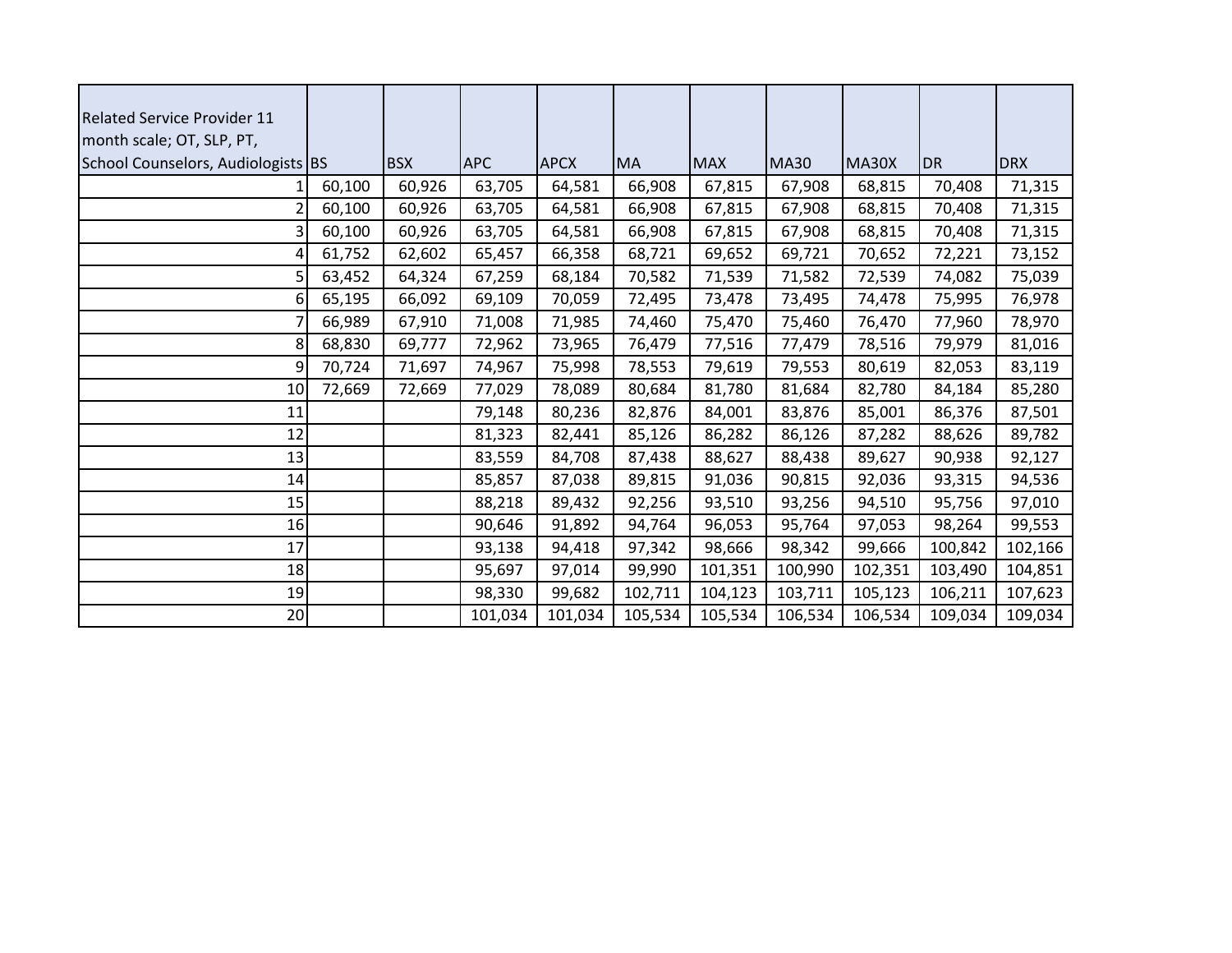| <b>Related Service Provider 11</b> |        |            |            |             |           |            |             |         |           |            |
|------------------------------------|--------|------------|------------|-------------|-----------|------------|-------------|---------|-----------|------------|
| month scale; OT, SLP, PT,          |        |            |            |             |           |            |             |         |           |            |
| School Counselors, Audiologists BS |        | <b>BSX</b> | <b>APC</b> | <b>APCX</b> | <b>MA</b> | <b>MAX</b> | <b>MA30</b> | MA30X   | <b>DR</b> | <b>DRX</b> |
|                                    | 60,100 | 60,926     | 63,705     | 64,581      | 66,908    | 67,815     | 67,908      | 68,815  | 70,408    | 71,315     |
|                                    | 60,100 | 60,926     | 63,705     | 64,581      | 66,908    | 67,815     | 67,908      | 68,815  | 70,408    | 71,315     |
| 3                                  | 60,100 | 60,926     | 63,705     | 64,581      | 66,908    | 67,815     | 67,908      | 68,815  | 70,408    | 71,315     |
| 4                                  | 61,752 | 62,602     | 65,457     | 66,358      | 68,721    | 69,652     | 69,721      | 70,652  | 72,221    | 73,152     |
| 5                                  | 63,452 | 64,324     | 67,259     | 68,184      | 70,582    | 71,539     | 71,582      | 72,539  | 74,082    | 75,039     |
| 6                                  | 65,195 | 66,092     | 69,109     | 70,059      | 72,495    | 73,478     | 73,495      | 74,478  | 75,995    | 76,978     |
|                                    | 66,989 | 67,910     | 71,008     | 71,985      | 74,460    | 75,470     | 75,460      | 76,470  | 77,960    | 78,970     |
| 8                                  | 68,830 | 69,777     | 72,962     | 73,965      | 76,479    | 77,516     | 77,479      | 78,516  | 79,979    | 81,016     |
| 9                                  | 70,724 | 71,697     | 74,967     | 75,998      | 78,553    | 79,619     | 79,553      | 80,619  | 82,053    | 83,119     |
| 10                                 | 72,669 | 72,669     | 77,029     | 78,089      | 80,684    | 81,780     | 81,684      | 82,780  | 84,184    | 85,280     |
| 11                                 |        |            | 79,148     | 80,236      | 82,876    | 84,001     | 83,876      | 85,001  | 86,376    | 87,501     |
| 12                                 |        |            | 81,323     | 82,441      | 85,126    | 86,282     | 86,126      | 87,282  | 88,626    | 89,782     |
| 13                                 |        |            | 83,559     | 84,708      | 87,438    | 88,627     | 88,438      | 89,627  | 90,938    | 92,127     |
| 14                                 |        |            | 85,857     | 87,038      | 89,815    | 91,036     | 90,815      | 92,036  | 93,315    | 94,536     |
| 15                                 |        |            | 88,218     | 89,432      | 92,256    | 93,510     | 93,256      | 94,510  | 95,756    | 97,010     |
| 16                                 |        |            | 90,646     | 91,892      | 94,764    | 96,053     | 95,764      | 97,053  | 98,264    | 99,553     |
| 17                                 |        |            | 93,138     | 94,418      | 97,342    | 98,666     | 98,342      | 99,666  | 100,842   | 102,166    |
| 18                                 |        |            | 95,697     | 97,014      | 99,990    | 101,351    | 100,990     | 102,351 | 103,490   | 104,851    |
| 19                                 |        |            | 98,330     | 99,682      | 102,711   | 104,123    | 103,711     | 105,123 | 106,211   | 107,623    |
| 20                                 |        |            | 101,034    | 101,034     | 105,534   | 105,534    | 106,534     | 106,534 | 109,034   | 109,034    |